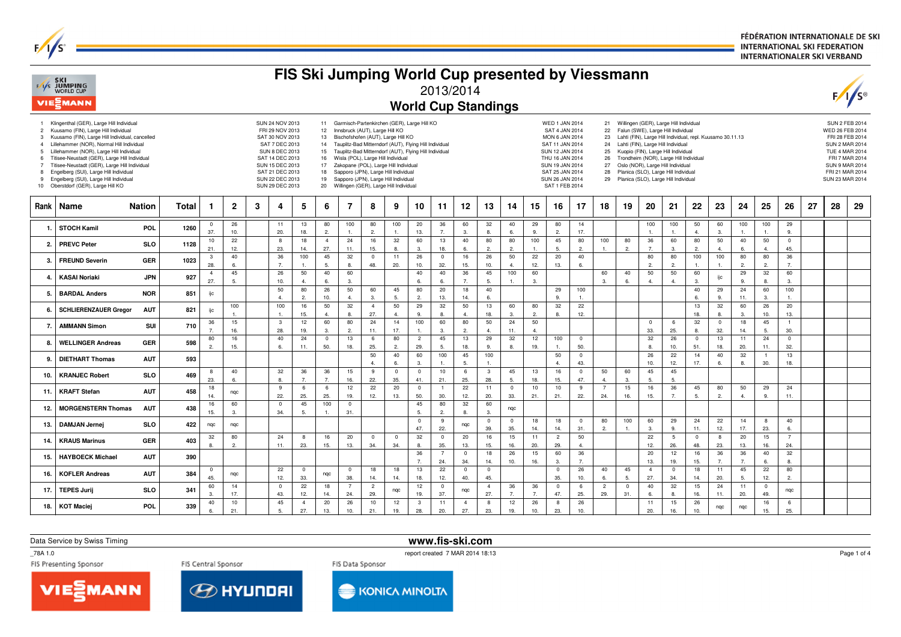FÉDÉRATION INTERNATIONALE DE SKI **INTERNATIONAL SKI FEDERATION INTERNATIONALER SKI VERBAND** 

|                                                       | F/I/S SKI<br>WORLD CUP<br>VIESMANN                                                                                                                                                                                                                                                                                                                                                                                                                           |               |       |                       |                       |   |                                                                                                                                                                                                 |                       |                                                                 |                                                                                                                                                                                                                                                                               |                       |                       | FIS Ski Jumping World Cup presented by Viessmann<br><b>World Cup Standings</b>                                                                                     | 2013/2014             |                       |                       |                        |                    |                                                                                                                                                                                                      |                         |                                              |                   |                       |                                                                                                                                                                                                                                                                                                                                                                                           |                       |                      |                      |                       |                       |    |                                                                                                                    | $\sqrt{s}$                                                 |
|-------------------------------------------------------|--------------------------------------------------------------------------------------------------------------------------------------------------------------------------------------------------------------------------------------------------------------------------------------------------------------------------------------------------------------------------------------------------------------------------------------------------------------|---------------|-------|-----------------------|-----------------------|---|-------------------------------------------------------------------------------------------------------------------------------------------------------------------------------------------------|-----------------------|-----------------------------------------------------------------|-------------------------------------------------------------------------------------------------------------------------------------------------------------------------------------------------------------------------------------------------------------------------------|-----------------------|-----------------------|--------------------------------------------------------------------------------------------------------------------------------------------------------------------|-----------------------|-----------------------|-----------------------|------------------------|--------------------|------------------------------------------------------------------------------------------------------------------------------------------------------------------------------------------------------|-------------------------|----------------------------------------------|-------------------|-----------------------|-------------------------------------------------------------------------------------------------------------------------------------------------------------------------------------------------------------------------------------------------------------------------------------------------------------------------------------------------------------------------------------------|-----------------------|----------------------|----------------------|-----------------------|-----------------------|----|--------------------------------------------------------------------------------------------------------------------|------------------------------------------------------------|
| 3<br>$\overline{4}$<br>-5<br>$\overline{7}$<br>8<br>9 | 1 Klingenthal (GER), Large Hill Individual<br>2 Kuusamo (FIN), Large Hill Individual<br>Kuusamo (FIN), Large Hill Individual, cancelled<br>Lillehammer (NOR), Normal Hill Individual<br>Lillehammer (NOR), Large Hill Individual<br>Titisee-Neustadt (GER), Large Hill Individual<br>Titisee-Neustadt (GER), Large Hill Individual<br>Engelberg (SUI), Large Hill Individual<br>Engelberg (SUI), Large Hill Individual<br>10 Oberstdorf (GER), Large Hill KO |               |       |                       |                       |   | SUN 24 NOV 2013<br>FRI 29 NOV 2013<br>SAT 30 NOV 2013<br>SAT 7 DEC 2013<br><b>SUN 8 DEC 2013</b><br>SAT 14 DEC 2013<br>SUN 15 DEC 2013<br>SAT 21 DEC 2013<br>SUN 22 DEC 2013<br>SUN 29 DEC 2013 |                       | 12 <sup>2</sup><br>13<br>14<br>15<br>16<br>17<br>18<br>19<br>20 | Innsbruck (AUT), Large Hill KO<br>Bischofshofen (AUT), Large Hill KO<br>Wisla (POL), Large Hill Individual<br>Zakopane (POL), Large Hill Individual<br>Sapporo (JPN), Large Hill Individual<br>Sapporo (JPN), Large Hill Individual<br>Willingen (GER), Large Hill Individual |                       |                       | 11 Garmisch-Partenkirchen (GER), Large Hill KO<br>Tauplitz-Bad Mitterndorf (AUT), Flying Hill Individual<br>Tauplitz-Bad Mitterndorf (AUT), Flying Hill Individual |                       |                       |                       |                        |                    | <b>WED 1 JAN 2014</b><br>SAT 4 JAN 2014<br><b>MON 6 JAN 2014</b><br>SAT 11 JAN 2014<br>SUN 12 JAN 2014<br>THU 16 JAN 2014<br>SUN 19 JAN 2014<br>SAT 25 JAN 2014<br>SUN 26 JAN 2014<br>SAT 1 FEB 2014 |                         | 22<br>23<br>24<br>25<br>26<br>27<br>28<br>29 |                   |                       | 21 Willingen (GER), Large Hill Individual<br>Falun (SWE), Large Hill Individual<br>Lahti (FIN), Large Hill Individual, repl. Kuusamo 30.11.13<br>Lahti (FIN), Large Hill Individual<br>Kuopio (FIN), Large Hill Individual<br>Trondheim (NOR), Large Hill Individual<br>Oslo (NOR), Large Hill Individual<br>Planica (SLO), Large Hill Individual<br>Planica (SLO), Large Hill Individual |                       |                      |                      |                       |                       |    | WED 26 FEB 2014<br>SUN 2 MAR 2014<br><b>TUE 4 MAR 2014</b><br>SUN 9 MAR 2014<br>FRI 21 MAR 2014<br>SUN 23 MAR 2014 | <b>SUN 2 FEB 2014</b><br>FRI 28 FEB 2014<br>FRI 7 MAR 2014 |
| Rank                                                  | Name                                                                                                                                                                                                                                                                                                                                                                                                                                                         | <b>Nation</b> | Total | 1                     | $\mathbf 2$           | 3 | 4                                                                                                                                                                                               | 5                     | 6                                                               | 7                                                                                                                                                                                                                                                                             | 8                     | 9                     | 10                                                                                                                                                                 | 11                    | 12                    | 13                    | 14                     | 15                 | 16                                                                                                                                                                                                   | 17                      | 18                                           | 19                | 20                    | 21                                                                                                                                                                                                                                                                                                                                                                                        | 22                    | 23                   | 24                   | 25                    | 26                    | 27 | 28                                                                                                                 | 29                                                         |
| -1.                                                   | <b>STOCH Kamil</b>                                                                                                                                                                                                                                                                                                                                                                                                                                           | POL           | 1260  | $^{\circ}$<br>37.     | 26<br>10.             |   | 11<br>20.                                                                                                                                                                                       | 13<br>18.             | 80<br>2.                                                        | 100                                                                                                                                                                                                                                                                           | 80<br>$\overline{2}$  | 100<br>$\overline{1}$ | 20<br>13.                                                                                                                                                          | 36<br>$\overline{7}$  | 60<br>3.              | 32<br>8.              | 40<br>6.               | 29<br>9.           | 80<br>2.                                                                                                                                                                                             | 14<br>17.               |                                              |                   | 100<br>$\mathbf{1}$ . | 100<br>$\overline{1}$                                                                                                                                                                                                                                                                                                                                                                     | 50<br>4.              | 60<br>3.             | 100                  | 100<br>$\mathbf{1}$   | 29<br>9.              |    |                                                                                                                    |                                                            |
| 2.                                                    | <b>PREVC Peter</b>                                                                                                                                                                                                                                                                                                                                                                                                                                           | <b>SLO</b>    | 1128  | 10<br>21.             | 22<br>12.             |   | - 8<br>23.                                                                                                                                                                                      | 18<br>14.             | $\overline{4}$<br>27.                                           | 24<br>11.                                                                                                                                                                                                                                                                     | 16<br>15.             | 32<br>8.              | 60<br>3.                                                                                                                                                           | 13<br>18.             | 40<br>6.              | 80<br>2.              | 80<br>2.               | 100<br>1.          | 45<br>5.                                                                                                                                                                                             | 80<br>2.                | 100<br>1.                                    | 80<br>2.          | 36<br>7.              | 60<br>3.                                                                                                                                                                                                                                                                                                                                                                                  | 80<br>2.              | 50<br>4.             | 40<br>6.             | 50<br>$\overline{4}$  | $^{\circ}$<br>45.     |    |                                                                                                                    |                                                            |
| 3.                                                    | <b>FREUND Severin</b>                                                                                                                                                                                                                                                                                                                                                                                                                                        | <b>GER</b>    | 1023  | $\mathbf{3}$<br>28.   | 40<br>6.              |   | 36<br>7.                                                                                                                                                                                        | 100<br>$\mathbf{1}$   | 45<br>5.                                                        | 32<br>8.                                                                                                                                                                                                                                                                      | $^{\circ}$<br>48.     | 11<br>20.             | 26<br>10.                                                                                                                                                          | $\mathbf 0$<br>32.    | 16<br>15.             | 26<br>10.             | 50<br>$\overline{4}$ . | 22<br>12.          | 20<br>13.                                                                                                                                                                                            | 40<br>6.                |                                              |                   | 80<br>2.              | 80<br>$\overline{2}$                                                                                                                                                                                                                                                                                                                                                                      | 100<br>$\overline{1}$ | 100<br>$\mathbf{1}$  | 80<br>2.             | 80<br>2.              | 36<br>7.              |    |                                                                                                                    |                                                            |
| 4.                                                    | <b>KASAI Noriaki</b>                                                                                                                                                                                                                                                                                                                                                                                                                                         | <b>JPN</b>    | 927   | $\overline{4}$<br>27. | 45<br>-5.             |   | 26<br>10.                                                                                                                                                                                       | 50<br>$\overline{4}$  | 40<br>6.                                                        | 60<br>3.                                                                                                                                                                                                                                                                      |                       |                       | 40<br>6.                                                                                                                                                           | 40                    | 36                    | 45<br>5.              | 100<br>$\mathbf{1}$    | 60<br>3.           |                                                                                                                                                                                                      |                         | 60<br>3.                                     | 40<br>6.          | 50<br>$\overline{4}$  | 50<br>$\overline{4}$                                                                                                                                                                                                                                                                                                                                                                      | 60<br>3.              | ijc                  | 29<br>9.             | 32<br>8.              | 60<br>3.              |    |                                                                                                                    |                                                            |
| 5.                                                    | <b>BARDAL Anders</b>                                                                                                                                                                                                                                                                                                                                                                                                                                         | <b>NOR</b>    | 851   | ijc                   |                       |   | 50<br>$\overline{4}$                                                                                                                                                                            | 80<br>2.              | 26<br>10.                                                       | 50<br>$\overline{4}$                                                                                                                                                                                                                                                          | 60<br>3.              | 45<br>5.              | 80<br>2.                                                                                                                                                           | 20<br>13.             | 18<br>14.             | 40<br>6.              |                        |                    | 29<br>9.                                                                                                                                                                                             | 100<br>$\overline{1}$ . |                                              |                   |                       |                                                                                                                                                                                                                                                                                                                                                                                           | 40<br>6.              | 29<br>9.             | 24<br>11.            | 60<br>3.              | 100<br>$\mathbf{1}$   |    |                                                                                                                    |                                                            |
| 6.                                                    | <b>SCHLIERENZAUER Gregor</b>                                                                                                                                                                                                                                                                                                                                                                                                                                 | <b>AUT</b>    | 821   | ijс                   | 100<br>$\overline{1}$ |   | 100<br>$\mathbf{1}$                                                                                                                                                                             | 16<br>15.             | 50<br>$\overline{4}$                                            | 32<br>8.                                                                                                                                                                                                                                                                      | $\overline{4}$<br>27. | 50<br>$\overline{4}$  | 29<br>9.                                                                                                                                                           | 32                    | 50<br>$\overline{4}$  | 13<br>18.             | 60<br>$\mathbf{3}$     | 80<br>2.           | 32<br>8.                                                                                                                                                                                             | 22<br>12.               |                                              |                   |                       |                                                                                                                                                                                                                                                                                                                                                                                           | 13<br>18.             | 32<br>8.             | 60<br>3.             | 26<br>10.             | 20<br>13.             |    |                                                                                                                    |                                                            |
| 7.                                                    | <b>AMMANN Simon</b>                                                                                                                                                                                                                                                                                                                                                                                                                                          | <b>SUI</b>    | 710   | 36<br>7.              | 15<br>16.             |   | $\mathbf{3}$<br>28.                                                                                                                                                                             | 12<br>19.             | 60<br>3.                                                        | 80<br>$\overline{2}$                                                                                                                                                                                                                                                          | 24<br>11.             | 14<br>17.             | 100<br>$\mathbf{1}$                                                                                                                                                | 60<br>3.              | 80<br>2.              | 50<br>$\overline{4}$  | 24<br>11.              | 50<br>$\mathbf{4}$ |                                                                                                                                                                                                      |                         |                                              |                   | $\overline{0}$<br>33. | 6<br>25.                                                                                                                                                                                                                                                                                                                                                                                  | 32<br>8.              | $\mathbf 0$<br>32.   | 18<br>14.            | 45<br>-5.             | $\overline{1}$<br>30  |    |                                                                                                                    |                                                            |
| 8.                                                    | <b>WELLINGER Andreas</b>                                                                                                                                                                                                                                                                                                                                                                                                                                     | <b>GER</b>    | 598   | 80<br>2.              | 16                    |   | 40                                                                                                                                                                                              | 24                    | $^{\circ}$                                                      | 13                                                                                                                                                                                                                                                                            | 6                     | 80<br>$\overline{2}$  | $\overline{2}$<br>29.                                                                                                                                              | 45<br>-5.             | 13                    | 29                    | 32<br>8.               | 12                 | 100                                                                                                                                                                                                  | $\overline{0}$<br>50.   |                                              |                   | 32                    | 26                                                                                                                                                                                                                                                                                                                                                                                        | $\overline{0}$        | 13                   | 11<br>20.            | 24                    | $\overline{0}$<br>32. |    |                                                                                                                    |                                                            |
| 9.                                                    | <b>DIETHART Thomas</b>                                                                                                                                                                                                                                                                                                                                                                                                                                       | <b>AUT</b>    | 593   |                       | 15.                   |   | 6.                                                                                                                                                                                              | 11.                   | 50.                                                             | 18.                                                                                                                                                                                                                                                                           | 25.<br>50             | 40                    | 60                                                                                                                                                                 | 100                   | 18.<br>45             | 9.<br>100             |                        | 19.                | 50                                                                                                                                                                                                   | $\overline{0}$          |                                              |                   | 8.<br>26              | 10.<br>22                                                                                                                                                                                                                                                                                                                                                                                 | 51.<br>14             | 18.<br>40            | 32                   | 11.<br>$\overline{1}$ | 13                    |    |                                                                                                                    |                                                            |
| 10.                                                   | <b>KRANJEC Robert</b>                                                                                                                                                                                                                                                                                                                                                                                                                                        | <b>SLO</b>    | 469   | 8                     | 40                    |   | 32                                                                                                                                                                                              | 36                    | 36                                                              | 15                                                                                                                                                                                                                                                                            | $\overline{4}$<br>9   | 6.<br>$\pmb{0}$       | 3.<br>$\mathbf 0$                                                                                                                                                  | 10                    | 5.<br>6               | 1.<br>3               | 45                     | 13                 | $\overline{4}$<br>16                                                                                                                                                                                 | 43.<br>$\mathbf 0$      | 50                                           | 60                | 10.<br>45             | 12.<br>45                                                                                                                                                                                                                                                                                                                                                                                 | 17.                   | 6.                   | 8.                   | 30.                   | 18.                   |    |                                                                                                                    |                                                            |
| 11.                                                   | <b>KRAFT Stefan</b>                                                                                                                                                                                                                                                                                                                                                                                                                                          | <b>AUT</b>    | 458   | 23.<br>18             | 6.<br>ngc             |   | 8.<br>9                                                                                                                                                                                         | 7.<br>6               | $\overline{7}$<br>6                                             | 16.<br>12                                                                                                                                                                                                                                                                     | 22.<br>22             | 35.<br>20             | 41.<br>$\mathbf 0$                                                                                                                                                 | 21.<br>$\overline{1}$ | 25.<br>22             | 28.<br>11             | 5.<br>$\mathbf 0$      | 18.<br>10          | 15.<br>10                                                                                                                                                                                            | 47.<br>9                | $\overline{4}$<br>$\overline{7}$             | 3.<br>15          | -5.<br>16             | -5.<br>36                                                                                                                                                                                                                                                                                                                                                                                 | 45                    | 80                   | 50                   | 29                    | 24                    |    |                                                                                                                    |                                                            |
| 12.                                                   | <b>MORGENSTERN Thomas</b>                                                                                                                                                                                                                                                                                                                                                                                                                                    | <b>AUT</b>    | 438   | 14.<br>16             | 60                    |   | 22.<br>$\mathbf 0$                                                                                                                                                                              | 25.<br>45             | 25<br>100                                                       | 19.<br>$\overline{0}$                                                                                                                                                                                                                                                         | 12.                   | 13.                   | 50.<br>45                                                                                                                                                          | 30.<br>80             | 12.<br>32             | 20.<br>60             | 33.<br>ngc             | 21.                | 21.                                                                                                                                                                                                  | 22.                     | 24.                                          | 16.               | 15.                   | 7.                                                                                                                                                                                                                                                                                                                                                                                        | 5.                    | 2.                   | $\overline{4}$       | 9.                    | 11.                   |    |                                                                                                                    |                                                            |
| 13.                                                   | <b>DAMJAN Jernei</b>                                                                                                                                                                                                                                                                                                                                                                                                                                         | <b>SLO</b>    | 422   | 15.<br>nqc            | 3.<br>ngc             |   | 34.                                                                                                                                                                                             | 5.                    |                                                                 | 31.                                                                                                                                                                                                                                                                           |                       |                       | 5.<br>$^{\circ}$                                                                                                                                                   | $\overline{2}$<br>9   | 8.<br>nqc             | 3.<br>$\mathbf 0$     | $\mathbf 0$            | 18                 | 18                                                                                                                                                                                                   | $^{\circ}$              | 80                                           | 100               | 60                    | 29                                                                                                                                                                                                                                                                                                                                                                                        | 24                    | 22                   | 14                   | 8                     | 40                    |    |                                                                                                                    |                                                            |
| 14.                                                   | <b>KRAUS Marinus</b>                                                                                                                                                                                                                                                                                                                                                                                                                                         | <b>GER</b>    | 403   | 32                    | 80                    |   | 24                                                                                                                                                                                              | 8                     | 16                                                              | 20                                                                                                                                                                                                                                                                            | $\overline{0}$        | $\mathbf 0$           | 47.<br>32                                                                                                                                                          | 22.<br>$\mathbf 0$    | 20                    | 39.<br>16             | 35.<br>15              | 14.<br>11          | 14.<br>$\overline{2}$                                                                                                                                                                                | 31.<br>50               | 2.                                           | $\overline{1}$ .  | 3.<br>22              | 9.<br>5                                                                                                                                                                                                                                                                                                                                                                                   | 11.<br>$^{\circ}$     | 12.<br>8             | 17.<br>20            | 23.<br>15             | 6.<br>$\overline{7}$  |    |                                                                                                                    |                                                            |
| 15.                                                   | <b>HAYBOECK Michael</b>                                                                                                                                                                                                                                                                                                                                                                                                                                      | <b>AUT</b>    | 390   | 8.                    | 2.                    |   | 11.                                                                                                                                                                                             | 23.                   | 15.                                                             | 13.                                                                                                                                                                                                                                                                           | 34.                   | 34.                   | 8.<br>36                                                                                                                                                           | 35.<br>$\overline{7}$ | 13.<br>$\mathbf{0}$   | 15.<br>18             | 16.<br>26              | 20.<br>15          | 29.<br>60                                                                                                                                                                                            | 4.<br>36                |                                              |                   | 12.<br>20             | 26.<br>12                                                                                                                                                                                                                                                                                                                                                                                 | 48.<br>16             | 23.<br>36            | 13.<br>36            | 16.<br>40             | 24.<br>32             |    |                                                                                                                    |                                                            |
| 16.                                                   | <b>KOFLER Andreas</b>                                                                                                                                                                                                                                                                                                                                                                                                                                        | <b>AUT</b>    | 384   | $^{\circ}$            |                       |   | 22                                                                                                                                                                                              | $\overline{0}$        |                                                                 | $\overline{0}$                                                                                                                                                                                                                                                                | 18                    | 18                    | $\overline{7}$<br>13                                                                                                                                               | 24.<br>22             | 34.<br>$\overline{0}$ | 14.<br>$\circ$        | 10.                    | 16.                | 3.<br>$\mathbf 0$                                                                                                                                                                                    | 7.<br>26                | 40                                           | 45                | 13.<br>$\overline{4}$ | 19.<br>$\overline{0}$                                                                                                                                                                                                                                                                                                                                                                     | 15.<br>18             | $\overline{7}$<br>11 | $\overline{7}$<br>45 | 6.<br>22              | 8.<br>80              |    |                                                                                                                    |                                                            |
|                                                       |                                                                                                                                                                                                                                                                                                                                                                                                                                                              |               |       | 45.                   | ngc<br>14             |   | 12.<br>$\overline{0}$                                                                                                                                                                           | 33.<br>22             | ngc<br>18                                                       | 38.<br>$\overline{7}$                                                                                                                                                                                                                                                         | 14.<br>$\overline{2}$ | 14.                   | 18.<br>12                                                                                                                                                          | 12.<br>$\mathbf 0$    | 40.                   | 45.<br>$\overline{4}$ | 36                     | 36                 | 35.<br>$\mathbf 0$                                                                                                                                                                                   | 10.<br>6                | 6.<br>$\overline{c}$                         | 5.<br>$\mathbf 0$ | 27.<br>40             | 34.<br>32                                                                                                                                                                                                                                                                                                                                                                                 | 14.<br>15             | 20.<br>24            | 5.<br>11             | 12.<br>$\overline{0}$ | 2.                    |    |                                                                                                                    |                                                            |
| 17.                                                   | <b>TEPES Jurij</b>                                                                                                                                                                                                                                                                                                                                                                                                                                           | <b>SLO</b>    | 341   | 60<br>3.              | 17.                   |   | 43.                                                                                                                                                                                             | 12.                   | 14.                                                             | 24.                                                                                                                                                                                                                                                                           | 29.                   | ngc                   | 19                                                                                                                                                                 | 37.                   | ngc                   | 27.                   | $\overline{7}$         | 7.                 | 47.                                                                                                                                                                                                  | 25.                     | 29.                                          | 31.               | 6.                    | -8.                                                                                                                                                                                                                                                                                                                                                                                       | 16.                   | 11.                  | 20.                  | 49.                   | ngc                   |    |                                                                                                                    |                                                            |
| 18.                                                   | <b>KOT Maciej</b>                                                                                                                                                                                                                                                                                                                                                                                                                                            | POL           | 339   | 40<br>6.              | 10<br>21.             |   | 45<br>5.                                                                                                                                                                                        | $\overline{4}$<br>27. | 20<br>13.                                                       | 26<br>10.                                                                                                                                                                                                                                                                     | 10<br>21.             | 12<br>19.             | $\mathbf{3}$<br>28.                                                                                                                                                | 11<br>20.             | $\overline{4}$<br>27. | 8<br>23.              | 12<br>19.              | 26<br>10.          | 8<br>23.                                                                                                                                                                                             | 26<br>10.               |                                              |                   | 11<br>20.             | 15<br>16.                                                                                                                                                                                                                                                                                                                                                                                 | 26<br>10.             | ngc                  | nqc                  | 16<br>15.             | 6<br>25.              |    |                                                                                                                    |                                                            |

Data Service by Swiss Timing

**www.fis-ski.com**

report created 7 MAR 2014 18:13

\_78A 1.0

 $F/1/s^2$ 







Page 1 of 4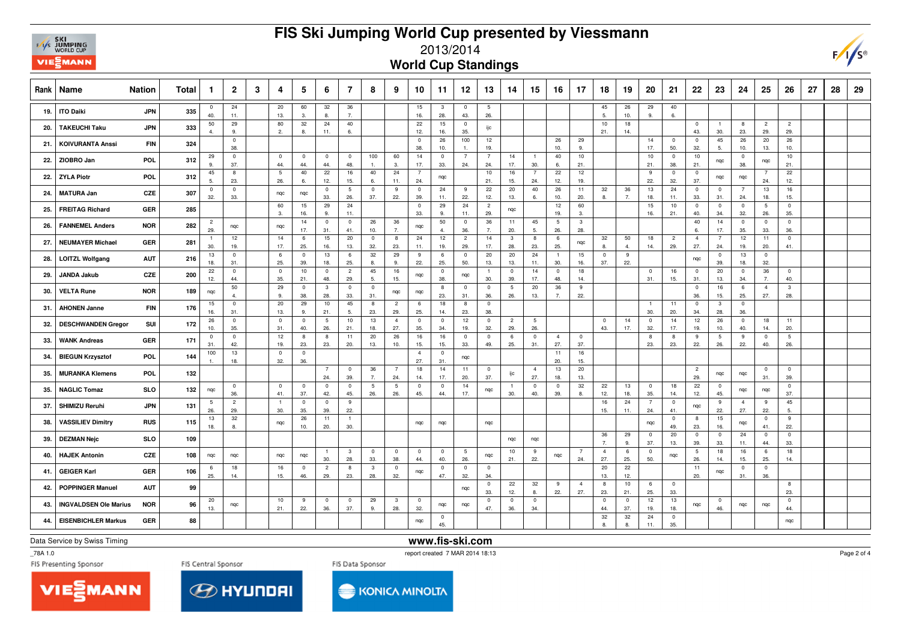## **FIS Ski Jumping World Cup presented by Viessmann**



## 2013/2014

**World Cup Standings**

| Rank | Name                         | <b>Nation</b> | Total | $\mathbf{1}$          | $\overline{2}$        | 3 | 4                              | 5                              | 6                              | 7                              | 8                     | 9                     | 10                             | 11                             | 12                     | 13                     | 14                             | 15                     | 16                    | 17                    | 18                    | 19                   | 20                             | 21                    | 22                     | 23                    | 24                             | 25                             | 26                     | 27 | 28 | 29 |
|------|------------------------------|---------------|-------|-----------------------|-----------------------|---|--------------------------------|--------------------------------|--------------------------------|--------------------------------|-----------------------|-----------------------|--------------------------------|--------------------------------|------------------------|------------------------|--------------------------------|------------------------|-----------------------|-----------------------|-----------------------|----------------------|--------------------------------|-----------------------|------------------------|-----------------------|--------------------------------|--------------------------------|------------------------|----|----|----|
| 19.  | <b>ITO Daiki</b>             | <b>JPN</b>    | 335   | $\overline{0}$<br>40. | 24<br>11.             |   | 20<br>13.                      | 60<br>3.                       | 32<br>8.                       | 36<br>$\overline{7}$           |                       |                       | 15<br>16.                      | $\overline{\mathbf{3}}$<br>28. | $\overline{0}$<br>43.  | $5\phantom{.0}$<br>26. |                                |                        |                       |                       | 45<br>5.              | 26<br>10.            | 29<br>9.                       | 40<br>6.              |                        |                       |                                |                                |                        |    |    |    |
| 20.  | <b>TAKEUCHI Taku</b>         | <b>JPN</b>    | 333   | 50<br>$\overline{4}$  | 29<br>9               |   | 80<br>2.                       | 32<br>8.                       | 24<br>11.                      | 40<br>6.                       |                       |                       | 22<br>12.                      | 15<br>16.                      | $\overline{0}$<br>35.  | ijс                    |                                |                        |                       |                       | 10<br>21.             | 18<br>14.            |                                |                       | $\mathbf 0$<br>43.     | $\overline{1}$<br>30. | 8<br>23.                       | $\overline{c}$<br>29.          | $\overline{2}$<br>29.  |    |    |    |
| 21.  | <b>KOIVURANTA Anssi</b>      | <b>FIN</b>    | 324   |                       | $\pmb{0}$<br>38.      |   |                                |                                |                                |                                |                       |                       | $\overline{\mathbf{0}}$<br>38. | 26<br>10.                      | 100<br>$\overline{1}$  | 12<br>19.              |                                |                        | 26<br>10.             | 29<br>9.              |                       |                      | 14<br>17.                      | $\overline{0}$<br>50. | $\overline{0}$<br>32.  | 45<br>5.              | 26<br>10.                      | 20<br>13.                      | 26<br>10.              |    |    |    |
| 22.  | ZIOBRO Jan                   | POL           | 312   | 29<br>9.              | $\overline{0}$<br>37. |   | $\overline{\mathbf{0}}$<br>44. | $\overline{0}$<br>44.          | $\overline{0}$<br>44.          | $\mathbf 0$<br>48.             | 100<br>$\mathbf{1}$   | 60<br>3.              | 14<br>17.                      | $\overline{\mathbf{0}}$<br>33. | $\overline{7}$<br>24.  | $\overline{7}$<br>24.  | 14<br>17.                      | $\overline{1}$<br>30.  | 40<br>6.              | 10<br>21.             |                       |                      | 10<br>21.                      | $\overline{0}$<br>38. | 10<br>21.              | nqc                   | $\overline{\mathbf{0}}$<br>38. | nqc                            | 10<br>21.              |    |    |    |
| 22.  | <b>ZYLA Piotr</b>            | POL           | 312   | 45<br>5.              | 8<br>23.              |   | 5<br>26.                       | 40<br>6.                       | 22<br>12.                      | 16<br>15.                      | 40<br>6.              | 24<br>11.             | $\overline{7}$<br>24.          | nqc                            |                        | 10<br>21.              | 16<br>15.                      | $\overline{7}$<br>24.  | 22<br>12.             | 12<br>19.             |                       |                      | 9<br>22.                       | $\mathbf 0$<br>32.    | $\mathbf{0}$<br>37.    | nqc                   | nqc                            | $\overline{7}$<br>24.          | 22<br>12.              |    |    |    |
| 24.  | <b>MATURA Jan</b>            | CZE           | 307   | $\mathbf 0$<br>32.    | $\overline{0}$<br>33. |   | nqc                            | nqc                            | $\mathbf 0$<br>33.             | 5<br>26.                       | $\mathbf 0$<br>37.    | 9<br>22.              | $\overline{0}$<br>39.          | 24<br>11.                      | 9<br>22.               | 22<br>12.              | 20<br>13.                      | 40<br>6.               | 26<br>10.             | 11<br>20.             | 32<br>8.              | 36<br>$\overline{7}$ | 13<br>18.                      | 24<br>11.             | $\mathbf{0}$<br>33.    | $\mathbf{0}$<br>31.   | $\overline{7}$<br>24.          | 13<br>18.                      | 16<br>15.              |    |    |    |
| 25.  | <b>FREITAG Richard</b>       | GER           | 285   |                       |                       |   | 60<br>3.                       | 15<br>16.                      | 29<br>9.                       | 24<br>11.                      |                       |                       | $\overline{\mathbf{0}}$<br>33. | 29<br>9.                       | 24<br>11.              | $\overline{c}$<br>29.  | nqc                            |                        | 12<br>19.             | 60<br>3.              |                       |                      | 15<br>16.                      | 10<br>21.             | $\mathbf 0$<br>40.     | $\mathbf{0}$<br>34.   | $\overline{0}$<br>32.          | 5<br>26.                       | $\mathbf{0}$<br>35.    |    |    |    |
| 26.  | <b>FANNEMEL Anders</b>       | <b>NOR</b>    | 282   | $\overline{2}$<br>29. | nqc                   |   | nqc                            | 14<br>17.                      | $\overline{\mathbf{0}}$<br>31. | $\mathbf 0$<br>41.             | 26<br>10.             | 36<br>7.              | nqc                            | 50<br>$\overline{4}$           | $\overline{0}$<br>36.  | 36<br>7.               | 11<br>20.                      | 45<br>5.               | 5<br>26.              | $\mathbf{3}$<br>28.   |                       |                      |                                |                       | 40<br>6.               | 14<br>17.             | $\overline{0}$<br>35.          | $\overline{0}$<br>33.          | $\mathbf{0}$<br>36.    |    |    |    |
| 27.  | <b>NEUMAYER Michael</b>      | GER           | 281   | -1<br>30.             | 12<br>19.             |   | 14<br>17.                      | - 6<br>25.                     | 15<br>16.                      | 20<br>13.                      | $\mathbf{0}$<br>32.   | 8<br>23.              | 24<br>11.                      | 12<br>19.                      | $\overline{2}$<br>29.  | 14<br>17.              | $\overline{\mathbf{3}}$<br>28. | 8<br>23.               | 6<br>25.              | nqc                   | 32<br>8.              | 50<br>4.             | 18<br>14.                      | $\overline{2}$<br>29. | $\overline{4}$<br>27.  | $\overline{7}$<br>24. | 12<br>19.                      | 11<br>20.                      | $\mathbf{0}$<br>41.    |    |    |    |
| 28.  | <b>LOITZL Wolfgang</b>       | <b>AUT</b>    | 216   | 13<br>18.             | $\pmb{0}$<br>31.      |   | 6<br>25.                       | $\overline{0}$<br>39.          | 13<br>18.                      | 6<br>25.                       | 32<br>8.              | 29<br>9.              | 9<br>22.                       | 6<br>25.                       | $\overline{0}$<br>50.  | 20<br>13.              | 20<br>13.                      | 24<br>11.              | $\overline{1}$<br>30. | 15<br>16.             | $\mathbf{0}$<br>37.   | 9<br>22.             |                                |                       | nqc                    | $\overline{0}$<br>39. | 13<br>18.                      | $\overline{0}$<br>32.          |                        |    |    |    |
| 29.  | <b>JANDA Jakub</b>           | CZE           | 200   | 22<br>12.             | $\overline{0}$<br>44. |   | $\overline{\mathbf{0}}$<br>35. | 10<br>21.                      | $\mathbf 0$<br>48.             | $\overline{c}$<br>29.          | 45<br>5.              | 16<br>15.             | nqc                            | $\mathbf 0$<br>38.             | nqc                    | 30.                    | $\mathbf 0$<br>39.             | 14<br>17.              | $\mathbf 0$<br>48.    | 18<br>14.             |                       |                      | $\overline{\mathbf{0}}$<br>31. | 16<br>15.             | $\mathbf 0$<br>31.     | 20<br>13.             | $\overline{\mathbf{0}}$<br>34. | 36<br>7.                       | $\mathbf 0$<br>40.     |    |    |    |
| 30.  | <b>VELTA Rune</b>            | <b>NOR</b>    | 189   | nqc                   | 50<br>$\overline{4}$  |   | 29<br>9.                       | $\overline{0}$<br>38.          | $\mathbf{3}$<br>28.            | $\mathbf 0$<br>33.             | $\overline{0}$<br>31. | nqc                   | nqc                            | 8<br>23.                       | $\mathbf 0$<br>31.     | $\overline{0}$<br>36.  | $5\phantom{.0}$<br>26.         | 20<br>13.              | 36<br>$\overline{7}$  | 9<br>22.              |                       |                      |                                |                       | $\mathbf 0$<br>36.     | 16<br>15.             | 6<br>25.                       | $\overline{4}$<br>27.          | $\mathbf{3}$<br>28.    |    |    |    |
| 31   | <b>AHONEN Janne</b>          | <b>FIN</b>    | 176   | 15<br>16.             | $\pmb{0}$<br>31.      |   | 20<br>13.                      | 29<br>9.                       | 10<br>21.                      | 45<br>5.                       | 8<br>23.              | $\overline{c}$<br>29. | 6<br>25.                       | 18<br>14.                      | 8<br>23.               | $\overline{0}$<br>38.  |                                |                        |                       |                       |                       |                      | $\overline{1}$<br>30.          | 11<br>20.             | $\mathbf 0$<br>34.     | $\mathbf{3}$<br>28.   | $\overline{\mathbf{0}}$<br>36. |                                |                        |    |    |    |
| 32.  | <b>DESCHWANDEN Gregor</b>    | SUI           | 172   | 26<br>10.             | $\overline{0}$<br>35. |   | $\overline{0}$<br>31.          | $^{\circ}$<br>40.              | 5<br>26.                       | 10<br>21.                      | 13<br>18.             | $\overline{4}$<br>27. | $\overline{0}$<br>35.          | $\overline{\mathbf{0}}$<br>34. | 12<br>19.              | $\overline{0}$<br>32.  | $\overline{c}$<br>29.          | $5\phantom{.0}$<br>26. |                       |                       | $\mathbf 0$<br>43.    | 14<br>17.            | $\mathbf 0$<br>32.             | 14<br>17.             | 12<br>19.              | 26<br>10.             | $\overline{0}$<br>40.          | 18<br>14.                      | 11<br>20.              |    |    |    |
| 33.  | <b>WANK Andreas</b>          | GER           | 171   | $\mathbf{0}$<br>31.   | $\mathbf 0$<br>42.    |   | 12<br>19.                      | 8<br>23.                       | 8<br>23.                       | 11<br>20.                      | 20<br>13.             | 26<br>10.             | 16<br>15.                      | 16<br>15.                      | $\overline{0}$<br>33.  | $\overline{0}$<br>49.  | 6<br>25.                       | $\overline{0}$<br>31.  | $\overline{4}$<br>27. | $\mathbf{0}$<br>37.   |                       |                      | 8<br>23.                       | 8<br>23.              | 9<br>22.               | 5<br>26.              | 9<br>22.                       | $\mathbf{0}$<br>40.            | $5\phantom{.0}$<br>26. |    |    |    |
| 34   | <b>BIEGUN Krzysztof</b>      | POL           | 144   | 100                   | 13<br>18.             |   | $\overline{\mathbf{0}}$<br>32. | $\overline{\mathbf{0}}$<br>36. |                                |                                |                       |                       | $\overline{4}$<br>27.          | $\overline{\mathbf{0}}$<br>31. | nqc                    |                        |                                |                        | 11<br>20.             | 16<br>15.             |                       |                      |                                |                       |                        |                       |                                |                                |                        |    |    |    |
| 35.  | <b>MURANKA Klemens</b>       | POL           | 132   |                       |                       |   |                                |                                | $\overline{7}$<br>24.          | $\mathbf 0$<br>39.             | 36<br>7.              | $\overline{7}$<br>24. | 18<br>14.                      | 14<br>17.                      | 11<br>20.              | $\overline{0}$<br>37.  | ijc                            | $\overline{4}$<br>27.  | 13<br>18.             | 20<br>13.             |                       |                      |                                |                       | $\overline{c}$<br>29.  | nqc                   | nqc                            | $\overline{0}$<br>31.          | $\mathbf{0}$<br>39.    |    |    |    |
| 35.  | <b>NAGLIC Tomaz</b>          | <b>SLO</b>    | 132   | nqc                   | $\overline{0}$<br>36. |   | $\overline{0}$<br>41.          | $\overline{0}$<br>37.          | $\mathbf 0$<br>42.             | $\mathbf 0$<br>45.             | 5<br>26.              | 5<br>26.              | $\mathbf 0$<br>45.             | $\mathbf 0$<br>44.             | 14<br>17.              | nqc                    | $\overline{1}$<br>30.          | $\overline{0}$<br>40.  | $\mathbf 0$<br>39.    | 32<br>8.              | 22<br>12.             | 13<br>18.            | $\mathbf 0$<br>35.             | 18<br>14.             | 22<br>12.              | $\mathbf 0$<br>45.    | nqc                            | nqc                            | $\mathbf{0}$<br>37.    |    |    |    |
| -37  | SHIMIZU Reruhi               | <b>JPN</b>    | 131   | 5<br>26.              | $\overline{c}$<br>29. |   | $\overline{1}$<br>30.          | $\overline{0}$<br>35.          | $\overline{0}$<br>39.          | 9<br>22.                       |                       |                       |                                |                                |                        |                        |                                |                        |                       |                       | 16<br>15.             | 24<br>11.            | $7\overline{ }$<br>24.         | $\overline{0}$<br>41. | nqc                    | 9<br>22.              | $\overline{4}$<br>27.          | 9<br>22.                       | 45<br>5.               |    |    |    |
| 38.  | <b>VASSILIEV Dimitry</b>     | <b>RUS</b>    | 115   | 13<br>18.             | 32<br>8               |   | nqc                            | 26<br>10.                      | 11<br>20.                      | $\mathbf{1}$<br>30.            |                       |                       | nqc                            | nqc                            |                        | nqc                    |                                |                        |                       |                       |                       |                      | nqc                            | $\mathbf 0$<br>49.    | 8<br>23.               | 15<br>16.             | nqc                            | $\overline{\mathbf{0}}$<br>41. | 9<br>22.               |    |    |    |
| 39.  | <b>DEZMAN Nejc</b>           | <b>SLO</b>    | 109   |                       |                       |   |                                |                                |                                |                                |                       |                       |                                |                                |                        |                        | nqc                            | nqc                    |                       |                       | 36<br>$\overline{7}$  | 29<br>9.             | $\overline{0}$<br>37.          | 20<br>13.             | $\overline{0}$<br>39.  | $\mathbf 0$<br>33.    | 24<br>11.                      | $\mathbf 0$<br>44.             | $\mathbf 0$<br>33.     |    |    |    |
| 40.  | <b>HAJEK Antonin</b>         | CZE           | 108   | nqc                   | ngc                   |   | nqc                            | nqc                            | $\overline{1}$<br>30.          | $\overline{\mathbf{3}}$<br>28. | $^{\circ}$<br>33.     | $\overline{0}$<br>38. | $\overline{0}$<br>44.          | $^{\circ}$<br>40.              | $5\phantom{.0}$<br>26. | nqc                    | 10<br>21.                      | 9<br>22.               | nqc                   | -7<br>24.             | $\overline{4}$<br>27. | 6<br>25.             | $\mathbf 0$<br>50.             | nqc                   | $5\phantom{.0}$<br>26. | 18<br>14.             | 16<br>15.                      | 6<br>25.                       | 18<br>14.              |    |    |    |
| 41.  | <b>GEIGER Karl</b>           | GER           | 106   | -6<br>25.             | 18<br>14.             |   | 16<br>15.                      | $\overline{\mathbf{0}}$<br>46. | $\overline{2}$<br>29.          | 8<br>23.                       | 3<br>28.              | $\overline{0}$<br>32. | nqc                            | $\overline{\mathbf{0}}$<br>47. | $\overline{0}$<br>32.  | $\overline{0}$<br>34.  |                                |                        |                       |                       | 20<br>13.             | 22<br>12.            |                                |                       | 11<br>20.              | nqc                   | $\overline{0}$<br>31.          | $\overline{\mathbf{0}}$<br>36. |                        |    |    |    |
| 42.  | <b>POPPINGER Manuel</b>      | <b>AUT</b>    | 99    |                       |                       |   |                                |                                |                                |                                |                       |                       |                                |                                | nqc                    | $\mathbf 0$<br>33.     | 22<br>12.                      | 32<br>8.               | -9<br>22.             | $\overline{4}$<br>27. | 8<br>23.              | 10<br>21.            | 6<br>25.                       | $\overline{0}$<br>33. |                        |                       |                                |                                | 8<br>23.               |    |    |    |
| 43.  | <b>INGVALDSEN Ole Marius</b> | <b>NOR</b>    | 96    | 20<br>13.             | nqc                   |   | 10<br>21.                      | 9<br>22.                       | $\overline{0}$<br>36.          | $\mathbf 0$<br>37.             | 29<br>9.              | $\mathbf{3}$<br>28.   | $\overline{\mathbf{0}}$<br>32. | nqc                            | nqc                    | $\mathbf 0$<br>47.     | $\mathbf 0$<br>36.             | $^{\circ}$<br>34.      |                       |                       | $\mathbf 0$<br>44.    | $\mathbf{0}$<br>37.  | 12<br>19.                      | 13<br>18.             | nqc                    | $\mathbf 0$<br>46.    | nqc                            | nqc                            | $\mathbf{0}$<br>44.    |    |    |    |
| 44.  | <b>EISENBICHLER Markus</b>   | GER           | 88    |                       |                       |   |                                |                                |                                |                                |                       |                       | nqc                            | $\mathbf 0$<br>45.             |                        |                        |                                |                        |                       |                       | 32<br>8.              | 32<br>8.             | 24<br>11.                      | $\mathbf 0$<br>35.    |                        |                       |                                |                                | nqc                    |    |    |    |

Data Service by Swiss Timing

**www.fis-ski.com**

\_78A 1.0

report created 7 MAR 2014 18:13





**KONICA MINOLTA** 

Page 2 of 4

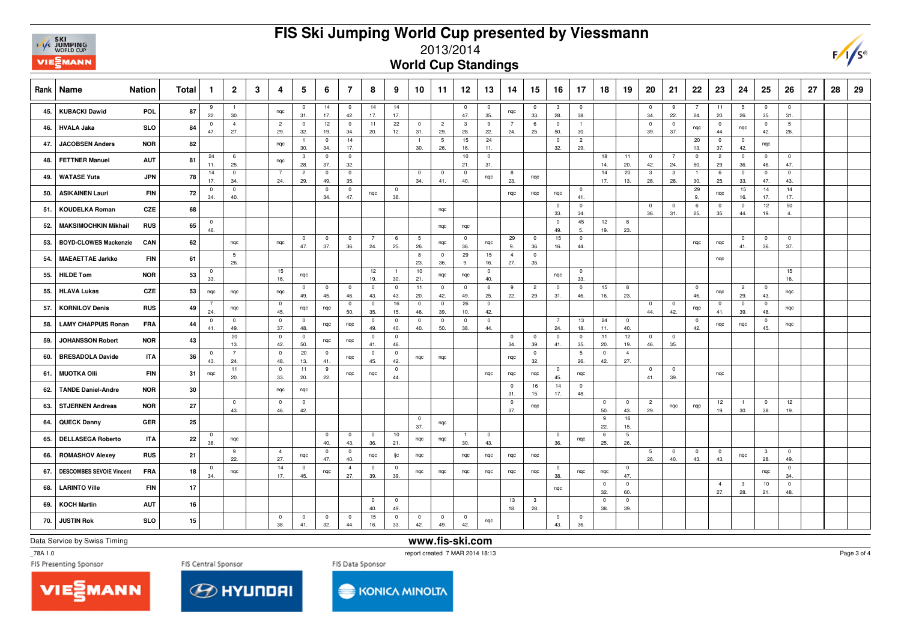

## **FIS Ski Jumping World Cup presented by Viessmann**



## 2013/2014

**World Cup Standings**

| Rank | <b>Nation</b><br>Name           | <b>Total</b>     | $\mathbf{1}$          | $\overline{2}$        | 3 | 4                              | 5                     | 6                     | $\overline{7}$        | 8                              | 9                              | 10                    | 11                    | 12                    | 13                    | 14                             | 15                             | 16                     | 17                     | 18                  | 19                     | 20                     | 21                             | 22                    | 23                    | 24                             | 25                             | 26                    | 27 | 28 | 29 |
|------|---------------------------------|------------------|-----------------------|-----------------------|---|--------------------------------|-----------------------|-----------------------|-----------------------|--------------------------------|--------------------------------|-----------------------|-----------------------|-----------------------|-----------------------|--------------------------------|--------------------------------|------------------------|------------------------|---------------------|------------------------|------------------------|--------------------------------|-----------------------|-----------------------|--------------------------------|--------------------------------|-----------------------|----|----|----|
| 45.  | <b>KUBACKI Dawid</b>            | POL.<br>87       | 9<br>22.              | $\overline{1}$<br>30. |   | ngc                            | $\overline{0}$<br>31. | 14<br>17.             | $\mathbf 0$<br>42.    | 14<br>17.                      | 14<br>17.                      |                       |                       | $\overline{0}$<br>47. | $\overline{0}$<br>35. | ngc                            | $\mathbf{0}$<br>33.            | $\mathbf{3}$<br>28.    | $\overline{0}$<br>38.  |                     |                        | $\overline{0}$<br>34.  | 9<br>22.                       | $\overline{7}$<br>24. | 11<br>20.             | $5\phantom{.0}$<br>26.         | $\overline{0}$<br>35.          | $\mathbf{0}$<br>31.   |    |    |    |
| 46.  | <b>HVALA Jaka</b>               | <b>SLO</b><br>84 | $\pmb{0}$<br>47.      | $\overline{4}$<br>27. |   | $\overline{2}$<br>29.          | $\overline{0}$<br>32. | 12<br>19.             | $\mathbf 0$<br>34.    | 11<br>20.                      | 22<br>12.                      | $\overline{0}$<br>31. | $\overline{2}$<br>29. | $\mathbf{3}$<br>28.   | 9<br>22.              | $\overline{7}$<br>24.          | 6<br>25.                       | $\mathbf 0$<br>50.     | $\mathbf{1}$<br>30.    |                     |                        | $\mathbf 0$<br>39.     | $\pmb{0}$<br>37.               | nqc                   | $\overline{0}$<br>44. | nqc                            | $\mathbf 0$<br>42.             | $\overline{5}$<br>26. |    |    |    |
| 47.  | <b>JACOBSEN Anders</b>          | <b>NOR</b><br>82 |                       |                       |   | nqc                            | 30.                   | $\mathbf 0$<br>34.    | 14<br>17.             |                                |                                | $\overline{1}$<br>30. | 5<br>26.              | 15<br>16.             | 24<br>11.             |                                |                                | $\mathbf 0$<br>32.     | $\overline{2}$<br>29.  |                     |                        |                        |                                | 20<br>13.             | $\overline{0}$<br>37. | $\overline{0}$<br>42.          | nqc                            |                       |    |    |    |
| 48.  | <b>FETTNER Manuel</b>           | <b>AUT</b><br>81 | 24<br>11.             | 6<br>25.              |   | nqc                            | $\mathbf{3}$<br>28.   | $\mathbf 0$<br>37.    | $\mathbf 0$<br>32.    |                                |                                |                       |                       | $10$<br>21.           | $\mathbf 0$<br>31.    |                                |                                |                        |                        | 18<br>14.           | 11<br>20.              | $\overline{0}$<br>42.  | $\overline{7}$<br>24.          | $\mathbf 0$<br>50.    | $\overline{2}$<br>29. | $\overline{\mathbf{0}}$<br>36. | $\overline{0}$<br>46.          | $\mathbf 0$<br>47.    |    |    |    |
| 49.  | <b>WATASE Yuta</b>              | 78<br><b>JPN</b> | 14<br>17.             | $\overline{0}$<br>34. |   | $\overline{7}$<br>24.          | $\overline{2}$<br>29. | $\mathbf 0$<br>49.    | $\overline{0}$<br>35. |                                |                                | $\overline{0}$<br>34. | $\overline{0}$<br>41. | $\mathbf 0$<br>40.    | nqc                   | 8<br>23.                       | nqc                            |                        |                        | 14<br>17.           | 20<br>13.              | $\mathbf{3}$<br>28.    | $\mathbf{3}$<br>28.            | $\blacksquare$<br>30. | 6<br>25.              | $\overline{\mathbf{0}}$<br>33. | $\overline{0}$<br>47.          | $\mathbf 0$<br>43.    |    |    |    |
| 50.  | <b>ASIKAINEN Lauri</b>          | <b>FIN</b><br>72 | $\overline{0}$<br>34. | $\mathbf 0$<br>40.    |   |                                |                       | $\pmb{0}$<br>34.      | $\mathbf 0$<br>47.    | nqc                            | $\overline{\mathbf{0}}$<br>36. |                       |                       |                       |                       | nqc                            | nqc                            | nqc                    | $\pmb{0}$<br>41.       |                     |                        |                        |                                | 29<br>9.              | nqc                   | 15<br>16.                      | 14<br>17.                      | 14<br>17.             |    |    |    |
| 51.  | <b>KOUDELKA Roman</b>           | CZE<br>68        |                       |                       |   |                                |                       |                       |                       |                                |                                |                       | nqc                   |                       |                       |                                |                                | $\mathbf 0$<br>33.     | $\mathbf{0}$<br>34.    |                     |                        | $\mathbf 0$<br>36.     | $\overline{\mathbf{0}}$<br>31. | 6<br>25.              | $\overline{0}$<br>35. | $\overline{0}$<br>44.          | 12<br>19.                      | 50<br>4.              |    |    |    |
| 52.  | <b>MAKSIMOCHKIN Mikhail</b>     | 65<br><b>RUS</b> | $\overline{0}$<br>46. |                       |   |                                |                       |                       |                       |                                |                                |                       | ngc                   | nqc                   |                       |                                |                                | $\mathbf{0}$<br>49.    | 45<br>5.               | 12<br>19.           | 8<br>23.               |                        |                                |                       |                       |                                |                                |                       |    |    |    |
| 53.  | <b>BOYD-CLOWES Mackenzie</b>    | 62<br>CAN        |                       | nqc                   |   | ngc                            | $\mathbf 0$<br>47.    | $\pmb{0}$<br>37.      | $\mathbf 0$<br>36.    | $\overline{7}$<br>24.          | 6<br>25.                       | 5<br>26.              | nqc                   | $\mathbf 0$<br>36.    | nqc                   | 29<br>9.                       | $\mathbf 0$<br>36.             | 15<br>16.              | $\mathbf 0$<br>44.     |                     |                        |                        |                                | nqc                   | nqc                   | $\overline{\mathbf{0}}$<br>41. | $\mathbf 0$<br>36.             | $\mathbf 0$<br>37.    |    |    |    |
| 54.  | <b>MAEAETTAE Jarkko</b>         | <b>FIN</b><br>61 |                       | 5<br>26.              |   |                                |                       |                       |                       |                                |                                | 8<br>23.              | $\overline{0}$<br>36. | 29<br>9.              | 15<br>16.             | $\overline{4}$<br>27.          | $\overline{0}$<br>35.          |                        |                        |                     |                        |                        |                                |                       | nqc                   |                                |                                |                       |    |    |    |
| 55.  | <b>HILDE Tom</b>                | <b>NOR</b><br>53 | $\overline{0}$<br>33. |                       |   | 15<br>16.                      | nqc                   |                       |                       | 12<br>19.                      | $\overline{1}$<br>30           | 10<br>21.             | ngc                   | ngc                   | $\overline{0}$<br>40. |                                |                                | ngc                    | $\mathbf{0}$<br>33.    |                     |                        |                        |                                |                       |                       |                                |                                | 15<br>16.             |    |    |    |
| 55.  | <b>HLAVA Lukas</b>              | CZE<br>53        | nqc                   | nqc                   |   | nqc                            | $\overline{0}$<br>49. | $\mathbf{0}$<br>45.   | $^{\circ}$<br>46.     | $\overline{0}$<br>43.          | $\overline{\mathbf{0}}$<br>43. | 11<br>20.             | $\overline{0}$<br>42. | $^{\circ}$<br>49.     | 6<br>25.              | 9<br>22.                       | $\overline{c}$<br>29.          | $\mathbf{0}$<br>31.    | $\pmb{0}$<br>46.       | 15<br>16.           | 8<br>23.               |                        |                                | $\overline{0}$<br>46. | nqc                   | $\overline{c}$<br>29.          | $\overline{\mathbf{0}}$<br>43. | nqc                   |    |    |    |
| 57.  | <b>KORNILOV Denis</b>           | <b>RUS</b><br>49 | $\overline{7}$<br>24. | nqc                   |   | $\overline{\mathbf{0}}$<br>45. | nqc                   | nqc                   | 0<br>50.              | $\overline{0}$<br>35.          | 16<br>15.                      | $\overline{0}$<br>46. | $\overline{0}$<br>39. | 26<br>10.             | $\mathbf 0$<br>42.    |                                |                                |                        |                        |                     |                        | $\mathbf 0$<br>44.     | $\overline{0}$<br>42.          | nqc                   | $\overline{0}$<br>41. | $\overline{0}$<br>39.          | $\overline{0}$<br>48.          | nqc                   |    |    |    |
| 58.  | <b>LAMY CHAPPUIS Ronan</b>      | 44<br><b>FRA</b> | $\overline{0}$<br>41. | $\mathbf 0$<br>49.    |   | $\overline{0}$<br>37.          | $\overline{0}$<br>48. | nqc                   | nqc                   | $\overline{0}$<br>49.          | $\overline{\mathbf{0}}$<br>40. | $^{\circ}$<br>40.     | $\overline{0}$<br>50. | $\overline{0}$<br>38. | $\mathbf 0$<br>44.    |                                |                                | $7\overline{ }$<br>24. | 13<br>18.              | 24<br>11.           | $\overline{0}$<br>40.  |                        |                                | $\overline{0}$<br>42. | nqc                   | nqc                            | $\mathbf 0$<br>45.             | nqc                   |    |    |    |
| 59.  | <b>JOHANSSON Robert</b>         | 43<br><b>NOR</b> |                       | 20<br>13.             |   | $\pmb{0}$<br>42.               | $\overline{0}$<br>50. | nqc                   | ngc                   | $\mathbf{0}$<br>41.            | $\pmb{0}$<br>46.               |                       |                       |                       |                       | $\overline{\mathbf{0}}$<br>34. | $\overline{0}$<br>39.          | $\mathbf{0}$<br>41.    | $\mathbf{0}$<br>35.    | 11<br>20.           | 12<br>19.              | $\overline{0}$<br>46.  | $\overline{0}$<br>35.          |                       |                       |                                |                                |                       |    |    |    |
| 60.  | <b>BRESADOLA Davide</b>         | 36<br><b>ITA</b> | $\overline{0}$<br>43. | $\overline{7}$<br>24. |   | $\overline{\mathbf{0}}$<br>48. | 20<br>13.             | $\overline{0}$<br>41. | nqc                   | $\overline{0}$<br>45.          | $\overline{\mathbf{0}}$<br>42. | ngc                   | nqc                   |                       |                       | nqc                            | $\mathbf 0$<br>32.             |                        | $5\phantom{.0}$<br>26. | $\mathbf{0}$<br>42. | $\overline{4}$<br>27.  |                        |                                |                       |                       |                                |                                |                       |    |    |    |
| 61.  | <b>MUOTKA Olli</b>              | 31<br><b>FIN</b> | nqc                   | 11<br>20.             |   | $\mathbf 0$<br>33.             | 11<br>20.             | 9<br>22.              | nqc                   | nqc                            | $\overline{\mathbf{0}}$<br>44. |                       |                       |                       | nqc                   | nqc                            | nqc                            | $\mathbf{0}$<br>45.    | nqc                    |                     |                        | $\overline{0}$<br>41.  | $\overline{0}$<br>39.          |                       | nqc                   |                                |                                |                       |    |    |    |
| 62.  | <b>TANDE Daniel-Andre</b>       | 30<br><b>NOR</b> |                       |                       |   | ngc                            | nqc                   |                       |                       |                                |                                |                       |                       |                       |                       | $\overline{\mathbf{0}}$<br>31. | 16<br>15.                      | 14<br>17.              | $\overline{0}$<br>48.  |                     |                        |                        |                                |                       |                       |                                |                                |                       |    |    |    |
| 63.  | <b>STJERNEN Andreas</b>         | 27<br><b>NOR</b> |                       | $\mathbf 0$<br>43.    |   | $\overline{0}$<br>46.          | $\mathbf 0$<br>42.    |                       |                       |                                |                                |                       |                       |                       |                       | $\overline{\mathbf{0}}$<br>37. | nqc                            |                        |                        | $\pmb{0}$<br>50.    | $\overline{0}$<br>43.  | $\overline{2}$<br>29.  | nqc                            | nqc                   | 12<br>19.             | $\overline{1}$<br>30.          | $\overline{0}$<br>38.          | 12<br>19.             |    |    |    |
| 64.  | <b>QUECK Danny</b>              | GER<br>25        |                       |                       |   |                                |                       |                       |                       |                                |                                | $\overline{0}$<br>37. | nqc                   |                       |                       |                                |                                |                        |                        | 9<br>22.            | 16<br>15.              |                        |                                |                       |                       |                                |                                |                       |    |    |    |
| 65.  | <b>DELLASEGA Roberto</b>        | <b>ITA</b><br>22 | $\overline{0}$<br>38. | nqc                   |   |                                |                       | $\mathbf 0$<br>40.    | $^{\circ}$<br>43.     | $\overline{0}$<br>36.          | 10<br>21.                      | ngc                   | ngc                   | $\overline{1}$<br>30. | $\mathbf 0$<br>43.    |                                |                                | $\mathbf 0$<br>36.     | nqc                    | 6<br>25.            | $5\phantom{.0}$<br>26. |                        |                                |                       |                       |                                |                                |                       |    |    |    |
| 66.  | <b>ROMASHOV Alexey</b>          | 21<br><b>RUS</b> |                       | 9<br>22.              |   | $\overline{4}$<br>27.          | nqc                   | $\pmb{0}$<br>47.      | $\mathbf 0$<br>40.    | nqc                            | ijc                            | ngc                   |                       | nqc                   | nqc                   | nqc                            | nqc                            |                        |                        |                     |                        | $5\phantom{.0}$<br>26. | $\overline{0}$<br>40.          | $\overline{0}$<br>43. | $\overline{0}$<br>43. | nqc                            | $\mathbf{3}$<br>28.            | $\pmb{0}$<br>49.      |    |    |    |
| 67.  | <b>DESCOMBES SEVOIE Vincent</b> | <b>FRA</b><br>18 | $\overline{0}$<br>34. | nqc                   |   | 14<br>17.                      | $\overline{0}$<br>45. | nqc                   | $\overline{4}$<br>27. | $\overline{0}$<br>39.          | $\overline{\mathbf{0}}$<br>39. | nqc                   | nqc                   | nqc                   | nqc                   | nqc                            | nqc                            | $\mathbf 0$<br>38.     | nqc                    | nqc                 | $\overline{0}$<br>47.  |                        |                                |                       |                       |                                | nqc                            | $\mathbf 0$<br>34.    |    |    |    |
| 68.  | <b>LARINTO Ville</b>            | 17<br><b>FIN</b> |                       |                       |   |                                |                       |                       |                       |                                |                                |                       |                       |                       |                       |                                |                                | nqc                    |                        | $\pmb{0}$<br>32.    | $\mathbf 0$<br>60.     |                        |                                |                       | $\overline{4}$<br>27. | $\overline{\mathbf{3}}$<br>28. | 10<br>21.                      | $\mathbf 0$<br>48.    |    |    |    |
| 69.  | <b>KOCH Martin</b>              | 16<br><b>AUT</b> |                       |                       |   |                                |                       |                       |                       | $\overline{\mathbf{0}}$<br>40. | $\mathbf 0$<br>49.             |                       |                       |                       |                       | 13<br>18.                      | $\overline{\mathbf{3}}$<br>28. |                        |                        | $\mathbf{0}$<br>38. | $\mathbf 0$<br>39.     |                        |                                |                       |                       |                                |                                |                       |    |    |    |
| 70.  | <b>JUSTIN Rok</b>               | <b>SLO</b><br>15 |                       |                       |   | $\overline{0}$<br>38.          | $\overline{0}$<br>41. | $\mathbf{0}$<br>32.   | $\overline{0}$<br>44. | 15<br>16.                      | $\overline{\mathbf{0}}$<br>33. | $\overline{0}$<br>42. | $\overline{0}$<br>49. | $\overline{0}$<br>42. | nqc                   |                                |                                | $\mathbf{0}$<br>43.    | $\mathbf 0$<br>36.     |                     |                        |                        |                                |                       |                       |                                |                                |                       |    |    |    |

Data Service by Swiss Timing

**www.fis-ski.com**

\_78A 1.0

report created 7 MAR 2014 18:13





**KONICA MINOLTA** 

Page 3 of 4